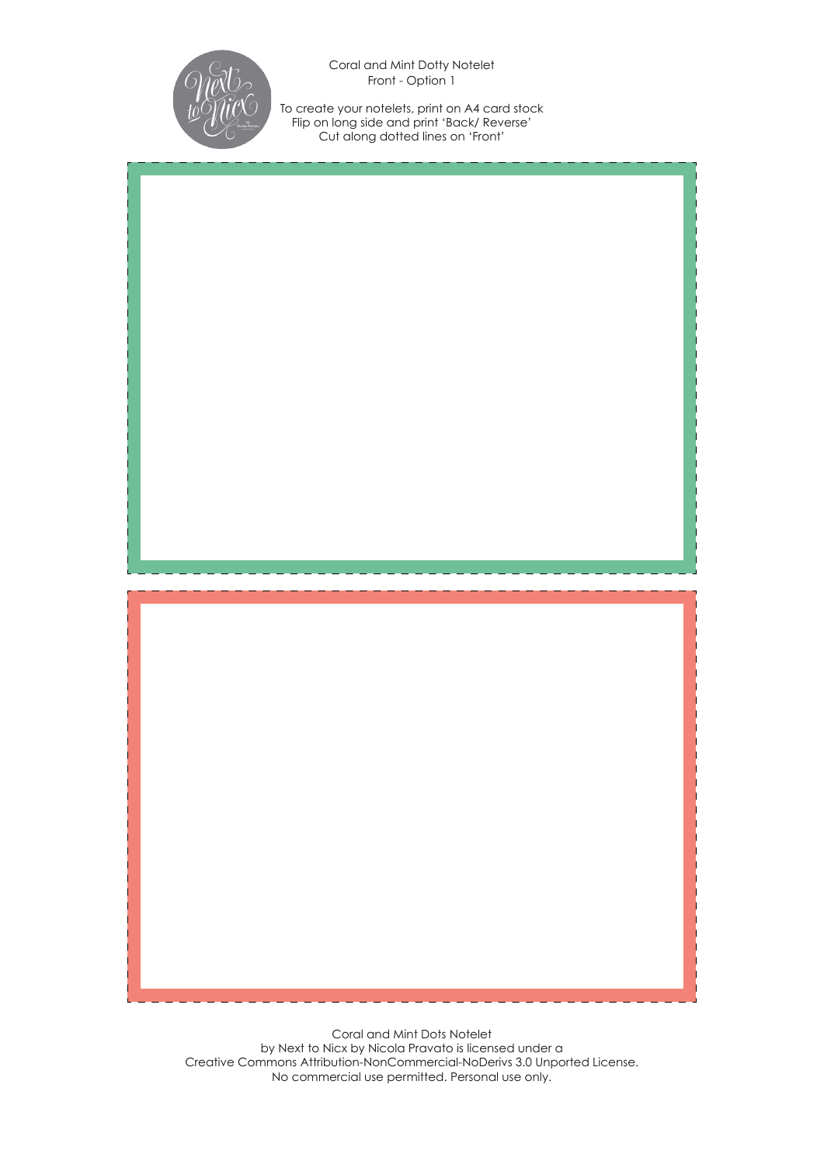

Coral and Mint Dotty Notelet Front - Option 1

To create your notelets, print on A4 card stock Flip on long side and print 'Back/ Reverse' Cut along dotted lines on 'Front'

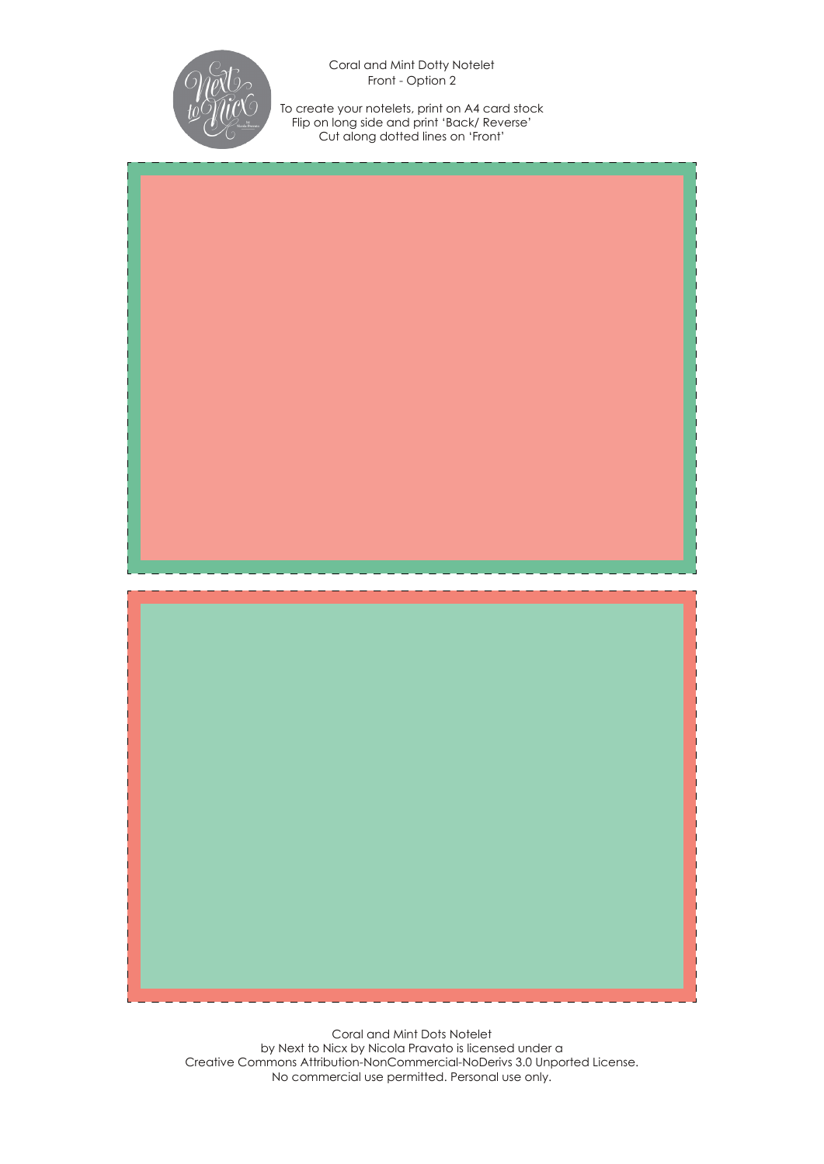

Coral and Mint Dotty Notelet Front - Option 2

To create your notelets, print on A4 card stock Flip on long side and print 'Back/ Reverse' Cut along dotted lines on 'Front'

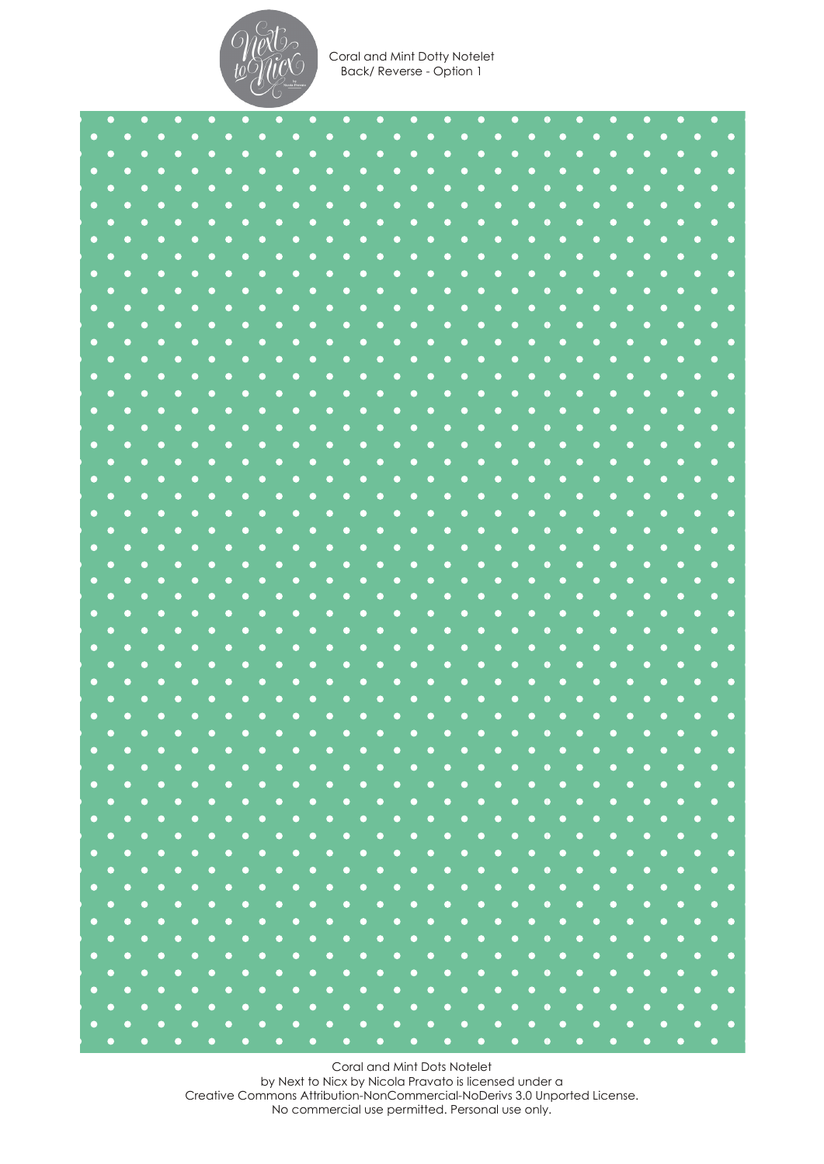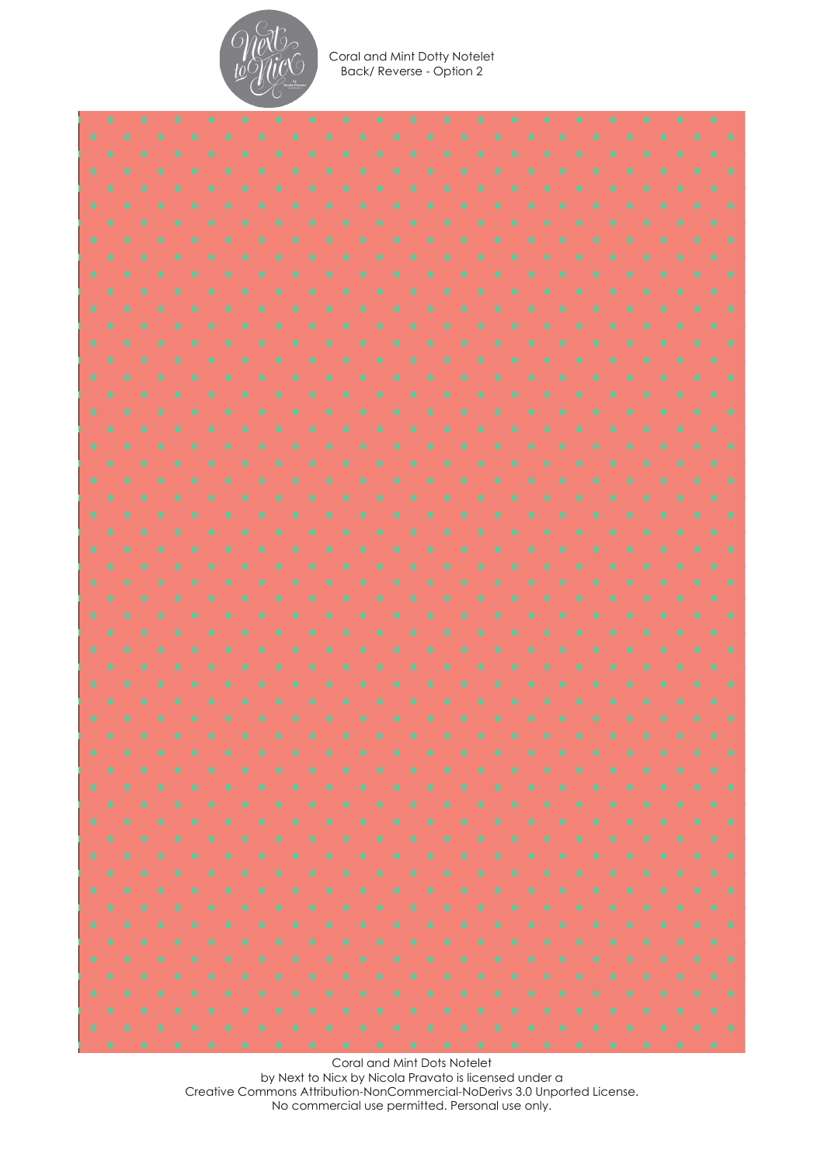